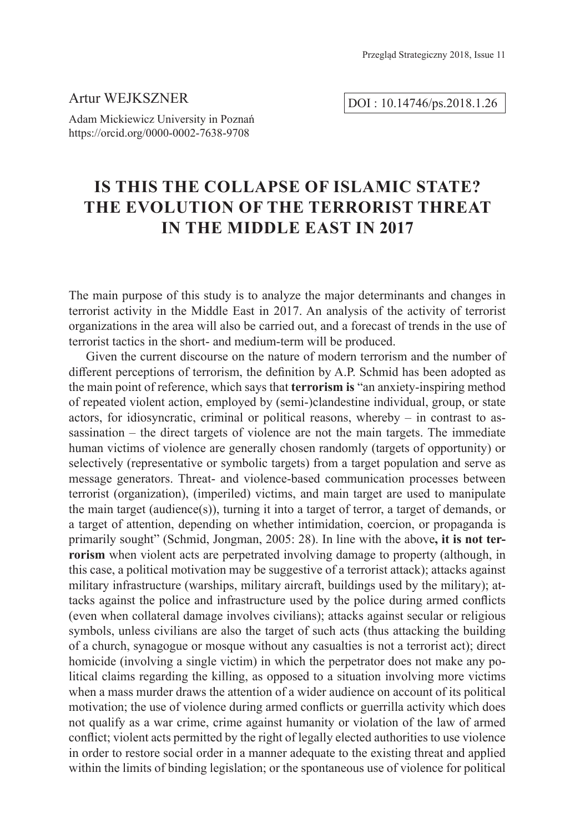## Artur WEJKSZNER

Adam Mickiewicz University in Poznań https://orcid.org/0000-0002-7638-9708

# DOI : 10.14746/ps.2018.1.26

# **Is this the Collapse of Islamic State? The Evolution of the Terrorist Threat in the Middle East in 2017**

The main purpose of this study is to analyze the major determinants and changes in terrorist activity in the Middle East in 2017. An analysis of the activity of terrorist organizations in the area will also be carried out, and a forecast of trends in the use of terrorist tactics in the short- and medium-term will be produced.

Given the current discourse on the nature of modern terrorism and the number of different perceptions of terrorism, the definition by A.P. Schmid has been adopted as the main point of reference, which says that **terrorism is** "an anxiety-inspiring method of repeated violent action, employed by (semi-)clandestine individual, group, or state actors, for idiosyncratic, criminal or political reasons, whereby – in contrast to assassination – the direct targets of violence are not the main targets. The immediate human victims of violence are generally chosen randomly (targets of opportunity) or selectively (representative or symbolic targets) from a target population and serve as message generators. Threat- and violence-based communication processes between terrorist (organization), (imperiled) victims, and main target are used to manipulate the main target (audience(s)), turning it into a target of terror, a target of demands, or a target of attention, depending on whether intimidation, coercion, or propaganda is primarily sought" (Schmid, Jongman, 2005: 28). In line with the above**, it is not terrorism** when violent acts are perpetrated involving damage to property (although, in this case, a political motivation may be suggestive of a terrorist attack); attacks against military infrastructure (warships, military aircraft, buildings used by the military); attacks against the police and infrastructure used by the police during armed conflicts (even when collateral damage involves civilians); attacks against secular or religious symbols, unless civilians are also the target of such acts (thus attacking the building of a church, synagogue or mosque without any casualties is not a terrorist act); direct homicide (involving a single victim) in which the perpetrator does not make any political claims regarding the killing, as opposed to a situation involving more victims when a mass murder draws the attention of a wider audience on account of its political motivation; the use of violence during armed conflicts or guerrilla activity which does not qualify as a war crime, crime against humanity or violation of the law of armed conflict; violent acts permitted by the right of legally elected authorities to use violence in order to restore social order in a manner adequate to the existing threat and applied within the limits of binding legislation; or the spontaneous use of violence for political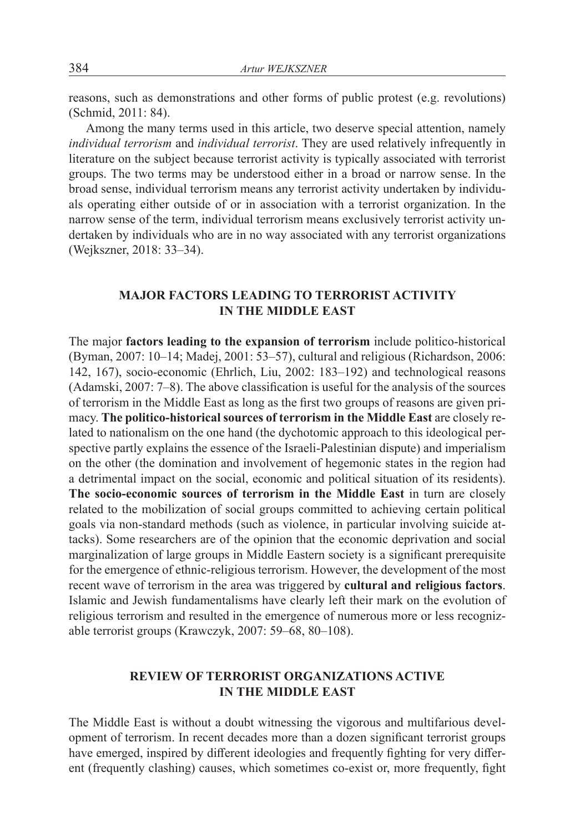reasons, such as demonstrations and other forms of public protest (e.g. revolutions) (Schmid, 2011: 84).

Among the many terms used in this article, two deserve special attention, namely *individual terrorism* and *individual terrorist*. They are used relatively infrequently in literature on the subject because terrorist activity is typically associated with terrorist groups. The two terms may be understood either in a broad or narrow sense. In the broad sense, individual terrorism means any terrorist activity undertaken by individuals operating either outside of or in association with a terrorist organization. In the narrow sense of the term, individual terrorism means exclusively terrorist activity undertaken by individuals who are in no way associated with any terrorist organizations (Wejkszner, 2018: 33–34).

## **MAJOR FACTORS LEADING TO TERRORIST ACTIVITY IN THE MIDDLE EAST**

The major **factors leading to the expansion of terrorism** include politico-historical (Byman, 2007: 10–14; Madej, 2001: 53–57), cultural and religious (Richardson, 2006: 142, 167), socio-economic (Ehrlich, Liu, 2002: 183–192) and technological reasons (Adamski, 2007: 7–8). The above classification is useful for the analysis of the sources of terrorism in the Middle East as long as the first two groups of reasons are given primacy. **The politico-historical sources of terrorism in the Middle East** are closely related to nationalism on the one hand (the dychotomic approach to this ideological perspective partly explains the essence of the Israeli-Palestinian dispute) and imperialism on the other (the domination and involvement of hegemonic states in the region had a detrimental impact on the social, economic and political situation of its residents). **The socio-economic sources of terrorism in the Middle East** in turn are closely related to the mobilization of social groups committed to achieving certain political goals via non-standard methods (such as violence, in particular involving suicide attacks). Some researchers are of the opinion that the economic deprivation and social marginalization of large groups in Middle Eastern society is a significant prerequisite for the emergence of ethnic-religious terrorism. However, the development of the most recent wave of terrorism in the area was triggered by **cultural and religious factors**. Islamic and Jewish fundamentalisms have clearly left their mark on the evolution of religious terrorism and resulted in the emergence of numerous more or less recognizable terrorist groups (Krawczyk, 2007: 59–68, 80–108).

## **REVIEW OF TERRORIST ORGANIZATIONS ACTIVE IN THE MIDDLE EAST**

The Middle East is without a doubt witnessing the vigorous and multifarious development of terrorism. In recent decades more than a dozen significant terrorist groups have emerged, inspired by different ideologies and frequently fighting for very different (frequently clashing) causes, which sometimes co-exist or, more frequently, fight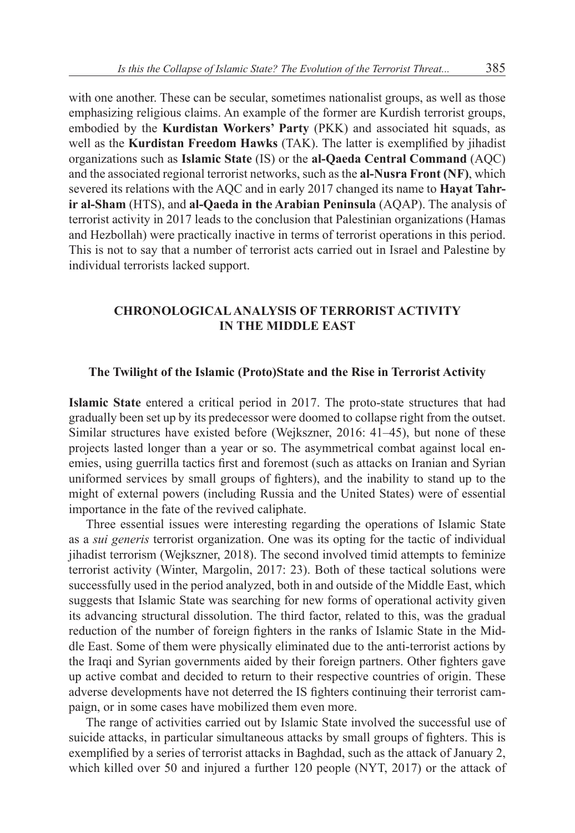with one another. These can be secular, sometimes nationalist groups, as well as those emphasizing religious claims. An example of the former are Kurdish terrorist groups, embodied by the **Kurdistan Workers' Party** (PKK) and associated hit squads, as well as the **Kurdistan Freedom Hawks** (TAK). The latter is exemplified by jihadist organizations such as **Islamic State** (IS) or the **al-Qaeda Central Command** (AQC) and the associated regional terrorist networks, such as the **al-Nusra Front (NF)**, which severed its relations with the AQC and in early 2017 changed its name to **Hayat Tahrir al-Sham** (HTS), and **al-Qaeda in the Arabian Peninsula** (AQAP). The analysis of terrorist activity in 2017 leads to the conclusion that Palestinian organizations (Hamas and Hezbollah) were practically inactive in terms of terrorist operations in this period. This is not to say that a number of terrorist acts carried out in Israel and Palestine by individual terrorists lacked support.

## **CHRONOLOGICALANALYSIS OF TERRORIST ACTIVITY IN THE MIDDLE EAST**

#### **The Twilight of the Islamic (Proto)State and the Rise in Terrorist Activity**

**Islamic State** entered a critical period in 2017. The proto-state structures that had gradually been set up by its predecessor were doomed to collapse right from the outset. Similar structures have existed before (Wejkszner, 2016: 41–45), but none of these projects lasted longer than a year or so. The asymmetrical combat against local enemies, using guerrilla tactics first and foremost (such as attacks on Iranian and Syrian uniformed services by small groups of fighters), and the inability to stand up to the might of external powers (including Russia and the United States) were of essential importance in the fate of the revived caliphate.

Three essential issues were interesting regarding the operations of Islamic State as a *sui generis* terrorist organization. One was its opting for the tactic of individual jihadist terrorism (Wejkszner, 2018). The second involved timid attempts to feminize terrorist activity (Winter, Margolin, 2017: 23). Both of these tactical solutions were successfully used in the period analyzed, both in and outside of the Middle East, which suggests that Islamic State was searching for new forms of operational activity given its advancing structural dissolution. The third factor, related to this, was the gradual reduction of the number of foreign fighters in the ranks of Islamic State in the Middle East. Some of them were physically eliminated due to the anti-terrorist actions by the Iraqi and Syrian governments aided by their foreign partners. Other fighters gave up active combat and decided to return to their respective countries of origin. These adverse developments have not deterred the IS fighters continuing their terrorist campaign, or in some cases have mobilized them even more.

The range of activities carried out by Islamic State involved the successful use of suicide attacks, in particular simultaneous attacks by small groups of fighters. This is exemplified by a series of terrorist attacks in Baghdad, such as the attack of January 2, which killed over 50 and injured a further 120 people (NYT, 2017) or the attack of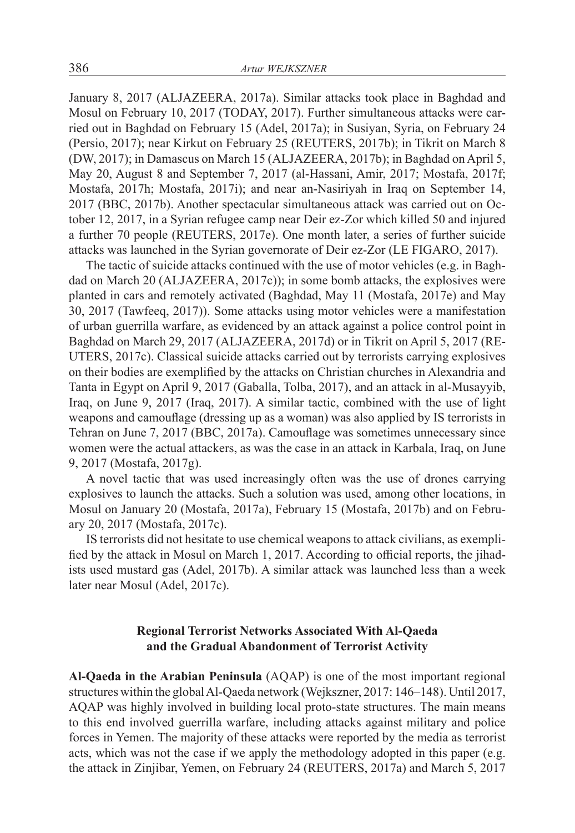January 8, 2017 (ALJAZEERA, 2017a). Similar attacks took place in Baghdad and Mosul on February 10, 2017 (TODAY, 2017). Further simultaneous attacks were carried out in Baghdad on February 15 (Adel, 2017a); in Susiyan, Syria, on February 24 (Persio, 2017); near Kirkut on February 25 (REUTERS, 2017b); in Tikrit on March 8 (DW, 2017); in Damascus on March 15 (ALJAZEERA, 2017b); in Baghdad on April 5, May 20, August 8 and September 7, 2017 (al-Hassani, Amir, 2017; Mostafa, 2017f; Mostafa, 2017h; Mostafa, 2017i); and near an-Nasiriyah in Iraq on September 14, 2017 (BBC, 2017b). Another spectacular simultaneous attack was carried out on October 12, 2017, in a Syrian refugee camp near Deir ez-Zor which killed 50 and injured a further 70 people (REUTERS, 2017e). One month later, a series of further suicide attacks was launched in the Syrian governorate of Deir ez-Zor (LE FIGARO, 2017).

The tactic of suicide attacks continued with the use of motor vehicles (e.g. in Baghdad on March 20 (ALJAZEERA, 2017c)); in some bomb attacks, the explosives were planted in cars and remotely activated (Baghdad, May 11 (Mostafa, 2017e) and May 30, 2017 (Tawfeeq, 2017)). Some attacks using motor vehicles were a manifestation of urban guerrilla warfare, as evidenced by an attack against a police control point in Baghdad on March 29, 2017 (ALJAZEERA, 2017d) or in Tikrit on April 5, 2017 (RE-UTERS, 2017c). Classical suicide attacks carried out by terrorists carrying explosives on their bodies are exemplified by the attacks on Christian churches in Alexandria and Tanta in Egypt on April 9, 2017 (Gaballa, Tolba, 2017), and an attack in al-Musayyib, Iraq, on June 9, 2017 (Iraq, 2017). A similar tactic, combined with the use of light weapons and camouflage (dressing up as a woman) was also applied by IS terrorists in Tehran on June 7, 2017 (BBC, 2017a). Camouflage was sometimes unnecessary since women were the actual attackers, as was the case in an attack in Karbala, Iraq, on June 9, 2017 (Mostafa, 2017g).

A novel tactic that was used increasingly often was the use of drones carrying explosives to launch the attacks. Such a solution was used, among other locations, in Mosul on January 20 (Mostafa, 2017a), February 15 (Mostafa, 2017b) and on February 20, 2017 (Mostafa, 2017c).

IS terrorists did not hesitate to use chemical weapons to attack civilians, as exemplified by the attack in Mosul on March 1, 2017. According to official reports, the jihadists used mustard gas (Adel, 2017b). A similar attack was launched less than a week later near Mosul (Adel, 2017c).

## **Regional Terrorist Networks Associated With Al-Qaeda and the Gradual Abandonment of Terrorist Activity**

**Al-Qaeda in the Arabian Peninsula** (AQAP) is one of the most important regional structures within the global Al-Qaeda network (Wejkszner, 2017: 146–148). Until 2017, AQAP was highly involved in building local proto-state structures. The main means to this end involved guerrilla warfare, including attacks against military and police forces in Yemen. The majority of these attacks were reported by the media as terrorist acts, which was not the case if we apply the methodology adopted in this paper (e.g. the attack in Zinjibar, Yemen, on February 24 (REUTERS, 2017a) and March 5, 2017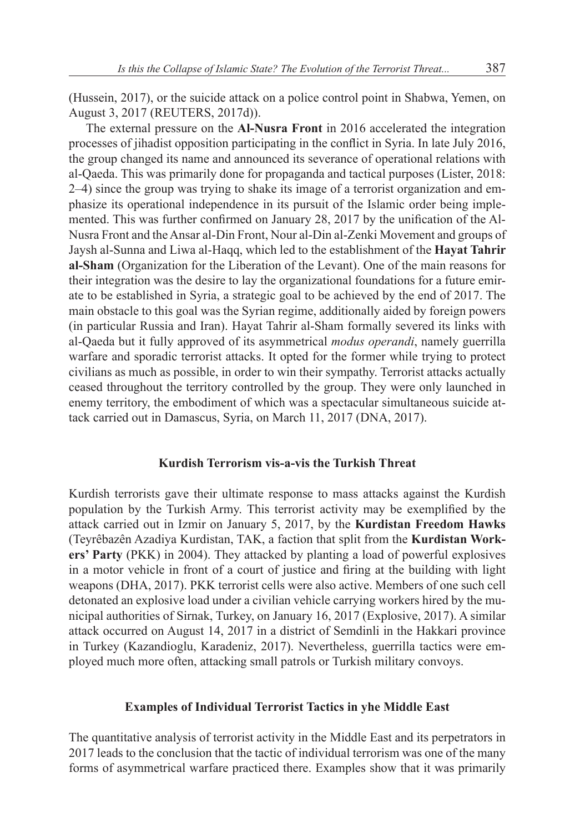(Hussein, 2017), or the suicide attack on a police control point in Shabwa, Yemen, on August 3, 2017 (REUTERS, 2017d)).

The external pressure on the **Al-Nusra Front** in 2016 accelerated the integration processes of jihadist opposition participating in the conflict in Syria. In late July 2016, the group changed its name and announced its severance of operational relations with al-Qaeda. This was primarily done for propaganda and tactical purposes (Lister, 2018: 2–4) since the group was trying to shake its image of a terrorist organization and emphasize its operational independence in its pursuit of the Islamic order being implemented. This was further confirmed on January 28, 2017 by the unification of the Al-Nusra Front and the Ansar al-Din Front, Nour al-Din al-Zenki Movement and groups of Jaysh al-Sunna and Liwa al-Haqq, which led to the establishment of the **Hayat Tahrir al-Sham** (Organization for the Liberation of the Levant). One of the main reasons for their integration was the desire to lay the organizational foundations for a future emirate to be established in Syria, a strategic goal to be achieved by the end of 2017. The main obstacle to this goal was the Syrian regime, additionally aided by foreign powers (in particular Russia and Iran). Hayat Tahrir al-Sham formally severed its links with al-Qaeda but it fully approved of its asymmetrical *modus operandi*, namely guerrilla warfare and sporadic terrorist attacks. It opted for the former while trying to protect civilians as much as possible, in order to win their sympathy. Terrorist attacks actually ceased throughout the territory controlled by the group. They were only launched in enemy territory, the embodiment of which was a spectacular simultaneous suicide attack carried out in Damascus, Syria, on March 11, 2017 (DNA, 2017).

### **Kurdish Terrorism vis-a-vis the Turkish Threat**

Kurdish terrorists gave their ultimate response to mass attacks against the Kurdish population by the Turkish Army. This terrorist activity may be exemplified by the attack carried out in Izmir on January 5, 2017, by the **Kurdistan Freedom Hawks** (Teyrêbazên Azadiya Kurdistan, TAK, a faction that split from the **Kurdistan Workers' Party** (PKK) in 2004). They attacked by planting a load of powerful explosives in a motor vehicle in front of a court of justice and firing at the building with light weapons (DHA, 2017). PKK terrorist cells were also active. Members of one such cell detonated an explosive load under a civilian vehicle carrying workers hired by the municipal authorities of Sirnak, Turkey, on January 16, 2017 (Explosive, 2017). A similar attack occurred on August 14, 2017 in a district of Semdinli in the Hakkari province in Turkey (Kazandioglu, Karadeniz, 2017). Nevertheless, guerrilla tactics were employed much more often, attacking small patrols or Turkish military convoys.

### **Examples of Individual Terrorist Tactics in yhe Middle East**

The quantitative analysis of terrorist activity in the Middle East and its perpetrators in 2017 leads to the conclusion that the tactic of individual terrorism was one of the many forms of asymmetrical warfare practiced there. Examples show that it was primarily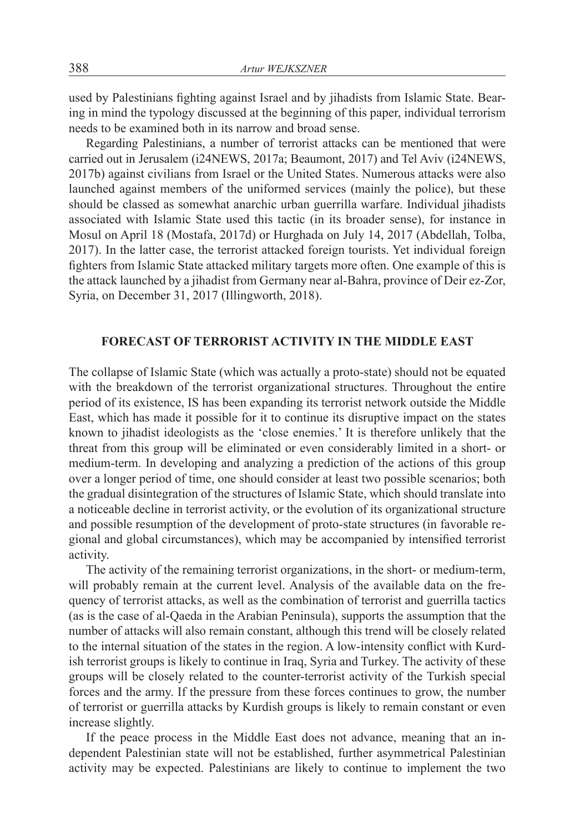used by Palestinians fighting against Israel and by jihadists from Islamic State. Bearing in mind the typology discussed at the beginning of this paper, individual terrorism needs to be examined both in its narrow and broad sense.

Regarding Palestinians, a number of terrorist attacks can be mentioned that were carried out in Jerusalem (i24NEWS, 2017a; Beaumont, 2017) and Tel Aviv (i24NEWS, 2017b) against civilians from Israel or the United States. Numerous attacks were also launched against members of the uniformed services (mainly the police), but these should be classed as somewhat anarchic urban guerrilla warfare. Individual jihadists associated with Islamic State used this tactic (in its broader sense), for instance in Mosul on April 18 (Mostafa, 2017d) or Hurghada on July 14, 2017 (Abdellah, Tolba, 2017). In the latter case, the terrorist attacked foreign tourists. Yet individual foreign fighters from Islamic State attacked military targets more often. One example of this is the attack launched by a jihadist from Germany near al-Bahra, province of Deir ez-Zor, Syria, on December 31, 2017 (Illingworth, 2018).

### **FORECAST OF TERRORIST ACTIVITY IN THE MIDDLE EAST**

The collapse of Islamic State (which was actually a proto-state) should not be equated with the breakdown of the terrorist organizational structures. Throughout the entire period of its existence, IS has been expanding its terrorist network outside the Middle East, which has made it possible for it to continue its disruptive impact on the states known to jihadist ideologists as the 'close enemies.' It is therefore unlikely that the threat from this group will be eliminated or even considerably limited in a short- or medium-term. In developing and analyzing a prediction of the actions of this group over a longer period of time, one should consider at least two possible scenarios; both the gradual disintegration of the structures of Islamic State, which should translate into a noticeable decline in terrorist activity, or the evolution of its organizational structure and possible resumption of the development of proto-state structures (in favorable regional and global circumstances), which may be accompanied by intensified terrorist activity.

The activity of the remaining terrorist organizations, in the short- or medium-term, will probably remain at the current level. Analysis of the available data on the frequency of terrorist attacks, as well as the combination of terrorist and guerrilla tactics (as is the case of al-Qaeda in the Arabian Peninsula), supports the assumption that the number of attacks will also remain constant, although this trend will be closely related to the internal situation of the states in the region. A low-intensity conflict with Kurdish terrorist groups is likely to continue in Iraq, Syria and Turkey. The activity of these groups will be closely related to the counter-terrorist activity of the Turkish special forces and the army. If the pressure from these forces continues to grow, the number of terrorist or guerrilla attacks by Kurdish groups is likely to remain constant or even increase slightly.

If the peace process in the Middle East does not advance, meaning that an independent Palestinian state will not be established, further asymmetrical Palestinian activity may be expected. Palestinians are likely to continue to implement the two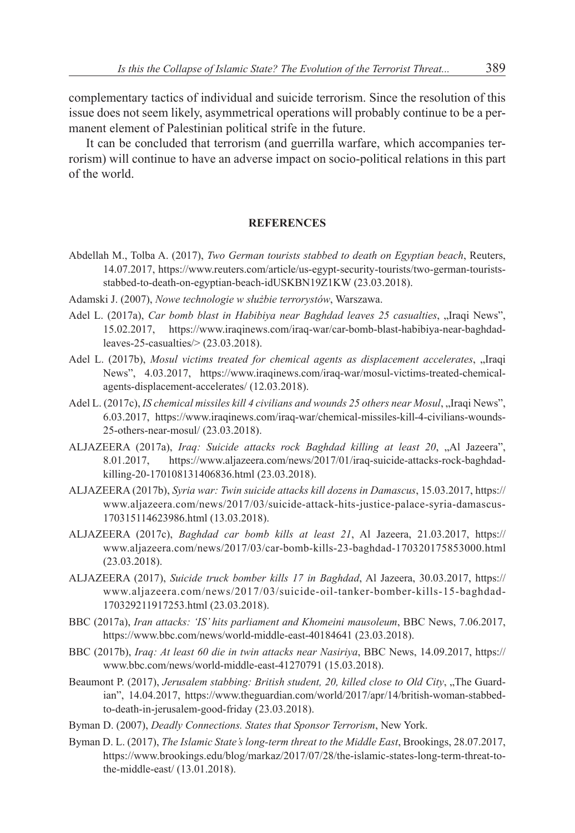complementary tactics of individual and suicide terrorism. Since the resolution of this issue does not seem likely, asymmetrical operations will probably continue to be a permanent element of Palestinian political strife in the future.

It can be concluded that terrorism (and guerrilla warfare, which accompanies terrorism) will continue to have an adverse impact on socio-political relations in this part of the world.

#### **REFERENCES**

- Abdellah M., Tolba A. (2017), *Two German tourists stabbed to death on Egyptian beach*, Reuters, 14.07.2017, https://www.reuters.com/article/us-egypt-security-tourists/two-german-touristsstabbed-to-death-on-egyptian-beach-idUSKBN19Z1KW (23.03.2018).
- Adamski J. (2007), *Nowe technologie w służbie terrorystów*, Warszawa.
- Adel L. (2017a), *Car bomb blast in Habibiya near Baghdad leaves 25 casualties*, "Iraqi News", 15.02.2017, https://www.iraqinews.com/iraq-war/car-bomb-blast-habibiya-near-baghdadleaves-25-casualties/> (23.03.2018).
- Adel L. (2017b), *Mosul victims treated for chemical agents as displacement accelerates*, "Iraqi News", 4.03.2017, https://www.iraqinews.com/iraq-war/mosul-victims-treated-chemicalagents-displacement-accelerates/ (12.03.2018).
- Adel L. (2017c), *IS chemical missiles kill 4 civilians and wounds 25 others near Mosul*, "Iraqi News", 6.03.2017, https://www.iraqinews.com/iraq-war/chemical-missiles-kill-4-civilians-wounds-25-others-near-mosul/ (23.03.2018).
- ALJAZEERA (2017a), *Iraq: Suicide attacks rock Baghdad killing at least 20*, "Al Jazeera", 8.01.2017, https://www.aljazeera.com/news/2017/01/iraq-suicide-attacks-rock-baghdadkilling-20-170108131406836.html (23.03.2018).
- ALJAZEERA (2017b), *Syria war: Twin suicide attacks kill dozens in Damascus*, 15.03.2017, https:// www.aljazeera.com/news/2017/03/suicide-attack-hits-justice-palace-syria-damascus-170315114623986.html (13.03.2018).
- ALJAZEERA (2017c), *Baghdad car bomb kills at least 21*, Al Jazeera, 21.03.2017, https:// www.aljazeera.com/news/2017/03/car-bomb-kills-23-baghdad-170320175853000.html (23.03.2018).
- ALJAZEERA (2017), *Suicide truck bomber kills 17 in Baghdad*, Al Jazeera, 30.03.2017, https:// www.aljazeera.com/news/2017/03/suicide-oil-tanker-bomber-kills-15-baghdad-170329211917253.html (23.03.2018).
- BBC (2017a), *Iran attacks: 'IS' hits parliament and Khomeini mausoleum*, BBC News, 7.06.2017, https://www.bbc.com/news/world-middle-east-40184641 (23.03.2018).
- BBC (2017b), *Iraq: At least 60 die in twin attacks near Nasiriya*, BBC News, 14.09.2017, https:// www.bbc.com/news/world-middle-east-41270791 (15.03.2018).
- Beaumont P. (2017), *Jerusalem stabbing: British student, 20, killed close to Old City*, "The Guardian", 14.04.2017, https://www.theguardian.com/world/2017/apr/14/british-woman-stabbedto-death-in-jerusalem-good-friday (23.03.2018).
- Byman D. (2007), *Deadly Connections. States that Sponsor Terrorism*, New York.
- Byman D. L. (2017), *The Islamic State's long-term threat to the Middle East*, Brookings, 28.07.2017, https://www.brookings.edu/blog/markaz/2017/07/28/the-islamic-states-long-term-threat-tothe-middle-east/ (13.01.2018).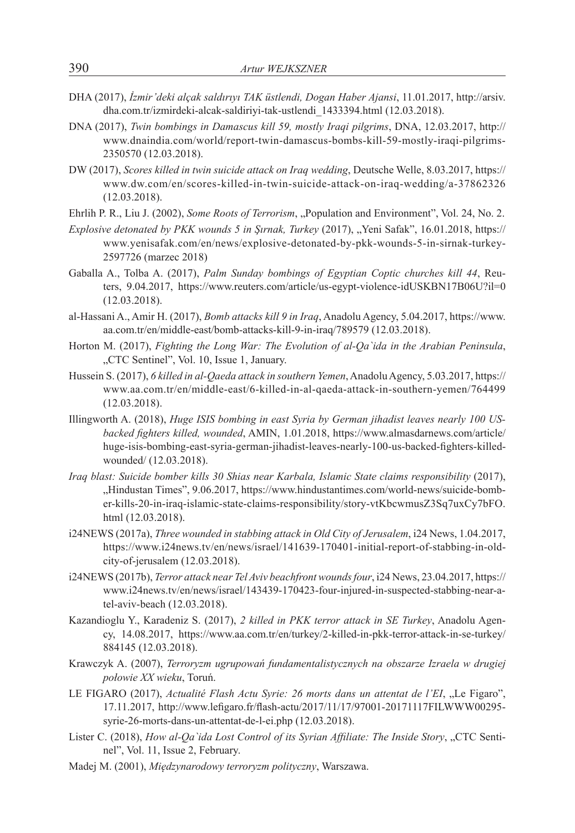- DHA (2017), *İzmir'deki alçak saldırıyı TAK üstlendi, Dogan Haber Ajansi*, 11.01.2017, http://arsiv. dha.com.tr/izmirdeki-alcak-saldiriyi-tak-ustlendi\_1433394.html (12.03.2018).
- DNA (2017), *Twin bombings in Damascus kill 59, mostly Iraqi pilgrims*, DNA, 12.03.2017, http:// www.dnaindia.com/world/report-twin-damascus-bombs-kill-59-mostly-iraqi-pilgrims-2350570 (12.03.2018).
- DW (2017), *Scores killed in twin suicide attack on Iraq wedding*, Deutsche Welle, 8.03.2017, https:// www.dw.com/en/scores-killed-in-twin-suicide-attack-on-iraq-wedding/a-37862326 (12.03.2018).
- Ehrlih P. R., Liu J. (2002), *Some Roots of Terrorism*, "Population and Environment", Vol. 24, No. 2.
- *Explosive detonated by PKK wounds 5 in Sırnak, Turkey* (2017), "Yeni Safak", 16.01.2018, https:// www.yenisafak.com/en/news/explosive-detonated-by-pkk-wounds-5-in-sirnak-turkey-2597726 (marzec 2018)
- Gaballa A., Tolba A. (2017), *Palm Sunday bombings of Egyptian Coptic churches kill 44*, Reuters, 9.04.2017, https://www.reuters.com/article/us-egypt-violence-idUSKBN17B06U?il=0 (12.03.2018).
- al-Hassani A., Amir H. (2017), *Bomb attacks kill 9 in Iraq*, Anadolu Agency, 5.04.2017, https://www. aa.com.tr/en/middle-east/bomb-attacks-kill-9-in-iraq/789579 (12.03.2018).
- Horton M. (2017), *Fighting the Long War: The Evolution of al-Qa`ida in the Arabian Peninsula*, "CTC Sentinel", Vol. 10, Issue 1, January.
- Hussein S. (2017), *6 killed in al-Qaeda attack in southern Yemen*, Anadolu Agency, 5.03.2017, https:// www.aa.com.tr/en/middle-east/6-killed-in-al-qaeda-attack-in-southern-yemen/764499 (12.03.2018).
- Illingworth A. (2018), *Huge ISIS bombing in east Syria by German jihadist leaves nearly 100 USbacked fighters killed, wounded*, AMIN, 1.01.2018, https://www.almasdarnews.com/article/ huge-isis-bombing-east-syria-german-jihadist-leaves-nearly-100-us-backed-fighters-killedwounded/ (12.03.2018).
- *Iraq blast: Suicide bomber kills 30 Shias near Karbala, Islamic State claims responsibility* (2017), "Hindustan Times", 9.06.2017, https://www.hindustantimes.com/world-news/suicide-bomber-kills-20-in-iraq-islamic-state-claims-responsibility/story-vtKbcwmusZ3Sq7uxCy7bFO. html (12.03.2018).
- i24NEWS (2017a), *Three wounded in stabbing attack in Old City of Jerusalem*, i24 News, 1.04.2017, https://www.i24news.tv/en/news/israel/141639-170401-initial-report-of-stabbing-in-oldcity-of-jerusalem (12.03.2018).
- i24NEWS (2017b), *Terror attack near Tel Aviv beachfront wounds four*, i24 News, 23.04.2017, https:// www.i24news.tv/en/news/israel/143439-170423-four-injured-in-suspected-stabbing-near-atel-aviv-beach (12.03.2018).
- Kazandioglu Y., Karadeniz S. (2017), *2 killed in PKK terror attack in SE Turkey*, Anadolu Agency, 14.08.2017, https://www.aa.com.tr/en/turkey/2-killed-in-pkk-terror-attack-in-se-turkey/ 884145 (12.03.2018).
- Krawczyk A. (2007), *Terroryzm ugrupowań fundamentalistycznych na obszarze Izraela w drugiej połowie XX wieku*, Toruń.
- LE FIGARO (2017), *Actualité Flash Actu Syrie: 26 morts dans un attentat de l'EI*, "Le Figaro", 17.11.2017, http://www.lefigaro.fr/flash-actu/2017/11/17/97001-20171117FILWWW00295 syrie-26-morts-dans-un-attentat-de-l-ei.php (12.03.2018).
- Lister C. (2018), *How al-Qa`ida Lost Control of its Syrian Affiliate: The Inside Story*, "CTC Sentinel", Vol. 11, Issue 2, February.
- Madej M. (2001), *Międzynarodowy terroryzm polityczny*, Warszawa.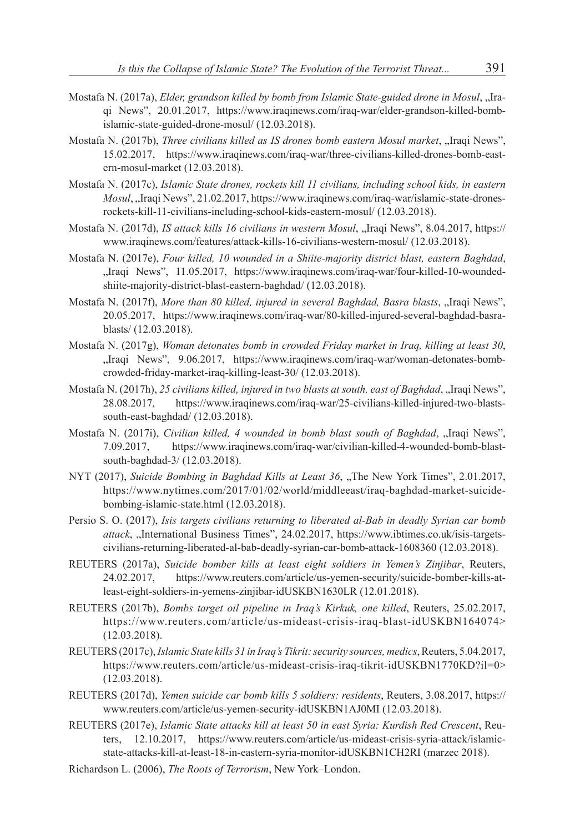- Mostafa N. (2017a), *Elder, grandson killed by bomb from Islamic State-guided drone in Mosul*, "Iraqi News", 20.01.2017, https://www.iraqinews.com/iraq-war/elder-grandson-killed-bombislamic-state-guided-drone-mosul/ (12.03.2018).
- Mostafa N. (2017b), *Three civilians killed as IS drones bomb eastern Mosul market*, "Iraqi News", 15.02.2017, https://www.iraqinews.com/iraq-war/three-civilians-killed-drones-bomb-eastern-mosul-market (12.03.2018).
- Mostafa N. (2017c), *Islamic State drones, rockets kill 11 civilians, including school kids, in eastern Mosul*, ...Iraqi News", 21.02.2017, https://www.iraqinews.com/iraq-war/islamic-state-dronesrockets-kill-11-civilians-including-school-kids-eastern-mosul/ (12.03.2018).
- Mostafa N. (2017d), *IS attack kills 16 civilians in western Mosul*, "Iraqi News", 8.04.2017, https:// www.iraqinews.com/features/attack-kills-16-civilians-western-mosul/ (12.03.2018).
- Mostafa N. (2017e), *Four killed, 10 wounded in a Shiite-majority district blast, eastern Baghdad*, "Iraqi News", 11.05.2017, https://www.iraqinews.com/iraq-war/four-killed-10-woundedshiite-majority-district-blast-eastern-baghdad/ (12.03.2018).
- Mostafa N. (2017f), *More than 80 killed, injured in several Baghdad, Basra blasts*, "Iraqi News", 20.05.2017, https://www.iraqinews.com/iraq-war/80-killed-injured-several-baghdad-basrablasts/ (12.03.2018).
- Mostafa N. (2017g), *Woman detonates bomb in crowded Friday market in Iraq, killing at least 30*, "Iraqi News", 9.06.2017, https://www.iraqinews.com/iraq-war/woman-detonates-bombcrowded-friday-market-iraq-killing-least-30/ (12.03.2018).
- Mostafa N. (2017h), 25 civilians killed, injured in two blasts at south, east of Baghdad, "Iraqi News", 28.08.2017, https://www.iraqinews.com/iraq-war/25-civilians-killed-injured-two-blastssouth-east-baghdad/ (12.03.2018).
- Mostafa N. (2017i), *Civilian killed, 4 wounded in bomb blast south of Baghdad*, "Iraqi News", 7.09.2017, https://www.iraqinews.com/iraq-war/civilian-killed-4-wounded-bomb-blastsouth-baghdad-3/ (12.03.2018).
- NYT (2017), *Suicide Bombing in Baghdad Kills at Least 36*, "The New York Times", 2.01.2017, https://www.nytimes.com/2017/01/02/world/middleeast/iraq-baghdad-market-suicidebombing-islamic-state.html (12.03.2018).
- Persio S. O. (2017), *Isis targets civilians returning to liberated al-Bab in deadly Syrian car bomb*  attack, "International Business Times", 24.02.2017, https://www.ibtimes.co.uk/isis-targetscivilians-returning-liberated-al-bab-deadly-syrian-car-bomb-attack-1608360 (12.03.2018).
- REUTERS (2017a), *Suicide bomber kills at least eight soldiers in Yemen's Zinjibar*, Reuters, 24.02.2017, https://www.reuters.com/article/us-yemen-security/suicide-bomber-kills-atleast-eight-soldiers-in-yemens-zinjibar-idUSKBN1630LR (12.01.2018).
- REUTERS (2017b), *Bombs target oil pipeline in Iraq's Kirkuk, one killed*, Reuters, 25.02.2017, https://www.reuters.com/article/us-mideast-crisis-iraq-blast-idUSKBN164074> (12.03.2018).
- REUTERS (2017c), *Islamic State kills 31 in Iraq's Tikrit: security sources, medics*, Reuters, 5.04.2017, https://www.reuters.com/article/us-mideast-crisis-iraq-tikrit-idUSKBN1770KD?il=0> (12.03.2018).
- REUTERS (2017d), *Yemen suicide car bomb kills 5 soldiers: residents*, Reuters, 3.08.2017, https:// www.reuters.com/article/us-yemen-security-idUSKBN1AJ0MI (12.03.2018).
- REUTERS (2017e), *Islamic State attacks kill at least 50 in east Syria: Kurdish Red Crescent*, Reuters, 12.10.2017, https://www.reuters.com/article/us-mideast-crisis-syria-attack/islamicstate-attacks-kill-at-least-18-in-eastern-syria-monitor-idUSKBN1CH2RI (marzec 2018).
- Richardson L. (2006), *The Roots of Terrorism*, New York–London.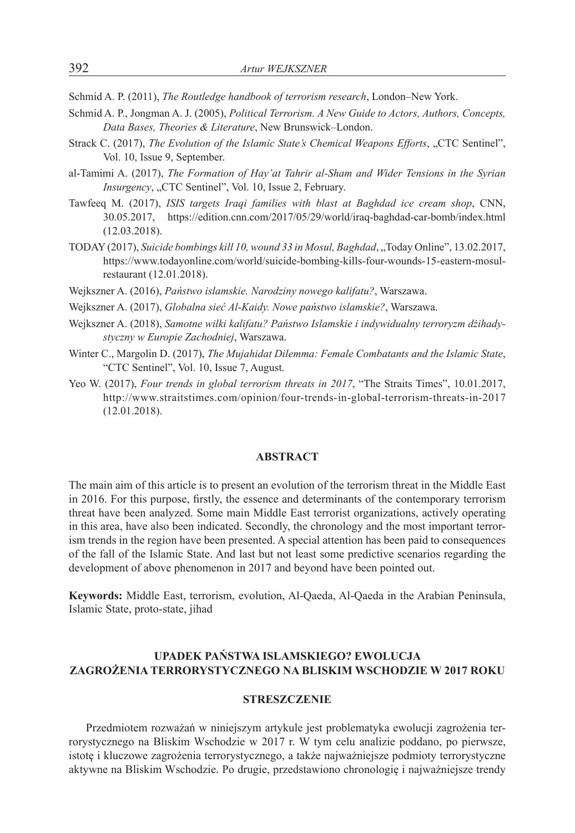Schmid A. P. (2011), *The Routledge handbook of terrorism research*, London–New York.

- Schmid A. P., Jongman A. J. (2005), *Political Terrorism. A New Guide to Actors, Authors, Concepts, Data Bases, Theories & Literature*, New Brunswick–London.
- Strack C. (2017), *The Evolution of the Islamic State's Chemical Weapons Efforts*, "CTC Sentinel", Vol. 10, Issue 9, September.
- al-Tamimi A. (2017), *The Formation of Hay'at Tahrir al-Sham and Wider Tensions in the Syrian Insurgency*, "CTC Sentinel", Vol. 10, Issue 2, February.
- Tawfeeq M. (2017), *ISIS targets Iraqi families with blast at Baghdad ice cream shop*, CNN, 30.05.2017, https://edition.cnn.com/2017/05/29/world/iraq-baghdad-car-bomb/index.html (12.03.2018).
- TODAY (2017), *Suicide bombings kill 10, wound 33 in Mosul, Baghdad*, "Today Online", 13.02.2017, https://www.todayonline.com/world/suicide-bombing-kills-four-wounds-15-eastern-mosulrestaurant (12.01.2018).
- Wejkszner A. (2016), *Państwo islamskie. Narodziny nowego kalifatu?*, Warszawa.
- Wejkszner A. (2017), *Globalna sieć Al-Kaidy. Nowe państwo islamskie?*, Warszawa.
- Wejkszner A. (2018), *Samotne wilki kalifatu? Państwo Islamskie i indywidualny terroryzm dżihadystyczny w Europie Zachodniej*, Warszawa.
- Winter C., Margolin D. (2017), *The Mujahidat Dilemma: Female Combatants and the Islamic State*, "CTC Sentinel", Vol. 10, Issue 7, August.
- Yeo W. (2017), *Four trends in global terrorism threats in 2017*, "The Straits Times", 10.01.2017, http://www.straitstimes.com/opinion/four-trends-in-global-terrorism-threats-in-2017 (12.01.2018).

#### **ABSTRACT**

The main aim of this article is to present an evolution of the terrorism threat in the Middle East in 2016. For this purpose, firstly, the essence and determinants of the contemporary terrorism threat have been analyzed. Some main Middle East terrorist organizations, actively operating in this area, have also been indicated. Secondly, the chronology and the most important terrorism trends in the region have been presented. A special attention has been paid to consequences of the fall of the Islamic State. And last but not least some predictive scenarios regarding the development of above phenomenon in 2017 and beyond have been pointed out.

**Keywords:** Middle East, terrorism, evolution, Al-Qaeda, Al-Qaeda in the Arabian Peninsula, Islamic State, proto-state, jihad

## **UPADEK PAŃSTWA ISLAMSKIEGO? EWOLUCJA ZAGROŻENIA TERRORYSTYCZNEGO NA BLISKIM WSCHODZIE W 2017 ROKU**

#### **STRESZCZENIE**

Przedmiotem rozważań w niniejszym artykule jest problematyka ewolucji zagrożenia terrorystycznego na Bliskim Wschodzie w 2017 r. W tym celu analizie poddano, po pierwsze, istotę i kluczowe zagrożenia terrorystycznego, a także najważniejsze podmioty terrorystyczne aktywne na Bliskim Wschodzie. Po drugie, przedstawiono chronologię i najważniejsze trendy